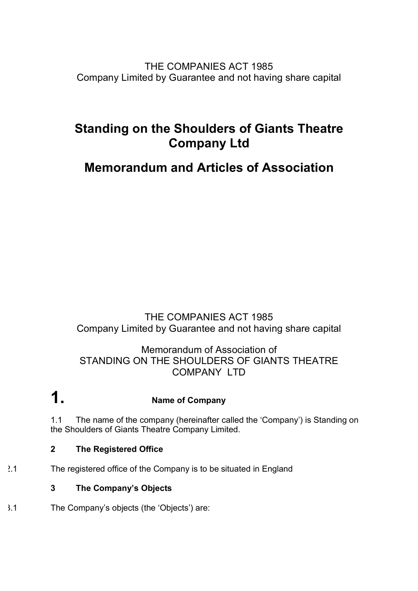THE COMPANIES ACT 1985 Company Limited by Guarantee and not having share capital

# **Standing on the Shoulders of Giants Theatre Company Ltd**

# **Memorandum and Articles of Association**

# THE COMPANIES ACT 1985 Company Limited by Guarantee and not having share capital

## Memorandum of Association of STANDING ON THE SHOULDERS OF GIANTS THEATRE COMPANY LTD

**1. Name of Company**

1.1 The name of the company (hereinafter called the 'Company') is Standing on the Shoulders of Giants Theatre Company Limited.

## **2 The Registered Office**

2.1 The registered office of the Company is to be situated in England

## **3 The Company's Objects**

3.1 The Company's objects (the 'Objects') are: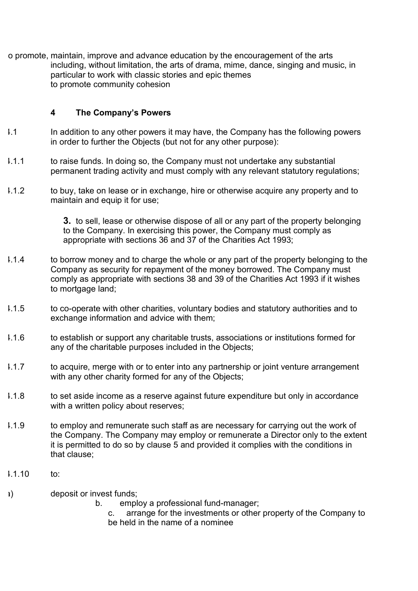to promote, maintain, improve and advance education by the encouragement of the arts including, without limitation, the arts of drama, mime, dance, singing and music, in particular to work with classic stories and epic themes to promote community cohesion

#### **4 The Company's Powers**

- 1.1 In addition to any other powers it may have, the Company has the following powers in order to further the Objects (but not for any other purpose):
- 1.1.1 to raise funds. In doing so, the Company must not undertake any substantial permanent trading activity and must comply with any relevant statutory regulations;
- 4.1.2 to buy, take on lease or in exchange, hire or otherwise acquire any property and to maintain and equip it for use;

**3.** to sell, lease or otherwise dispose of all or any part of the property belonging to the Company. In exercising this power, the Company must comply as appropriate with sections 36 and 37 of the Charities Act 1993;

- 1.1.4 to borrow money and to charge the whole or any part of the property belonging to the Company as security for repayment of the money borrowed. The Company must comply as appropriate with sections 38 and 39 of the Charities Act 1993 if it wishes to mortgage land;
- 1.1.5 to co-operate with other charities, voluntary bodies and statutory authorities and to exchange information and advice with them;
- 1.1.6 to establish or support any charitable trusts, associations or institutions formed for any of the charitable purposes included in the Objects;
- 4.1.7 to acquire, merge with or to enter into any partnership or joint venture arrangement with any other charity formed for any of the Objects;
- 4.1.8 to set aside income as a reserve against future expenditure but only in accordance with a written policy about reserves;
- 4.1.9 to employ and remunerate such staff as are necessary for carrying out the work of the Company. The Company may employ or remunerate a Director only to the extent it is permitted to do so by clause 5 and provided it complies with the conditions in that clause;
- $1.1.10$  to:
- a) deposit or invest funds;
	- b. employ a professional fund-manager;
		- c. arrange for the investments or other property of the Company to be held in the name of a nominee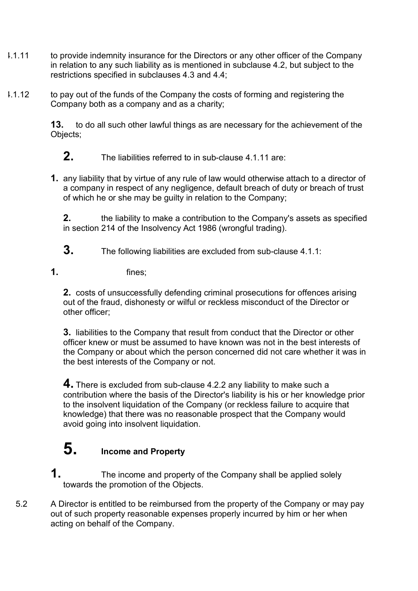- 1.1.11 to provide indemnity insurance for the Directors or any other officer of the Company in relation to any such liability as is mentioned in subclause 4.2, but subject to the restrictions specified in subclauses 4.3 and 4.4;
- 1.1.12 to pay out of the funds of the Company the costs of forming and registering the Company both as a company and as a charity;

**13.** to do all such other lawful things as are necessary for the achievement of the Objects;

**2.** The liabilities referred to in sub-clause 4.1.11 are:

**1.** any liability that by virtue of any rule of law would otherwise attach to a director of a company in respect of any negligence, default breach of duty or breach of trust of which he or she may be guilty in relation to the Company;

**2.** the liability to make a contribution to the Company's assets as specified in section 214 of the Insolvency Act 1986 (wrongful trading).

- **3.** The following liabilities are excluded from sub-clause 4.1.1:
- **1.** fines;

**2.** costs of unsuccessfully defending criminal prosecutions for offences arising out of the fraud, dishonesty or wilful or reckless misconduct of the Director or other officer;

**3.** liabilities to the Company that result from conduct that the Director or other officer knew or must be assumed to have known was not in the best interests of the Company or about which the person concerned did not care whether it was in the best interests of the Company or not.

**4.** There is excluded from sub-clause 4.2.2 any liability to make such a contribution where the basis of the Director's liability is his or her knowledge prior to the insolvent liquidation of the Company (or reckless failure to acquire that knowledge) that there was no reasonable prospect that the Company would avoid going into insolvent liquidation.

# **5. Income and Property**

- **1.** The income and property of the Company shall be applied solely towards the promotion of the Objects.
- 5.2 A Director is entitled to be reimbursed from the property of the Company or may pay out of such property reasonable expenses properly incurred by him or her when acting on behalf of the Company.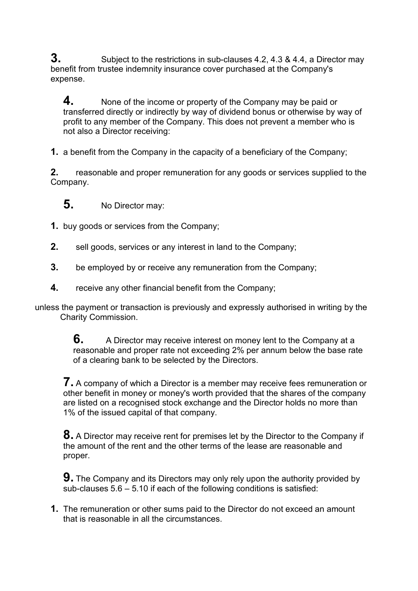**3.** Subject to the restrictions in sub-clauses 4.2, 4.3 & 4.4, a Director may benefit from trustee indemnity insurance cover purchased at the Company's expense.

**4.** None of the income or property of the Company may be paid or transferred directly or indirectly by way of dividend bonus or otherwise by way of profit to any member of the Company. This does not prevent a member who is not also a Director receiving:

**1.** a benefit from the Company in the capacity of a beneficiary of the Company;

**2.** reasonable and proper remuneration for any goods or services supplied to the Company.

**5.** No Director may:

- **1.** buy goods or services from the Company;
- **2.** sell goods, services or any interest in land to the Company;
- **3.** be employed by or receive any remuneration from the Company;
- **4.** receive any other financial benefit from the Company;

unless the payment or transaction is previously and expressly authorised in writing by the Charity Commission.

> **6.** A Director may receive interest on money lent to the Company at a reasonable and proper rate not exceeding 2% per annum below the base rate of a clearing bank to be selected by the Directors.

**7.** A company of which a Director is a member may receive fees remuneration or other benefit in money or money's worth provided that the shares of the company are listed on a recognised stock exchange and the Director holds no more than 1% of the issued capital of that company.

**8.** A Director may receive rent for premises let by the Director to the Company if the amount of the rent and the other terms of the lease are reasonable and proper.

**9.** The Company and its Directors may only rely upon the authority provided by sub-clauses 5.6 – 5.10 if each of the following conditions is satisfied:

**1.** The remuneration or other sums paid to the Director do not exceed an amount that is reasonable in all the circumstances.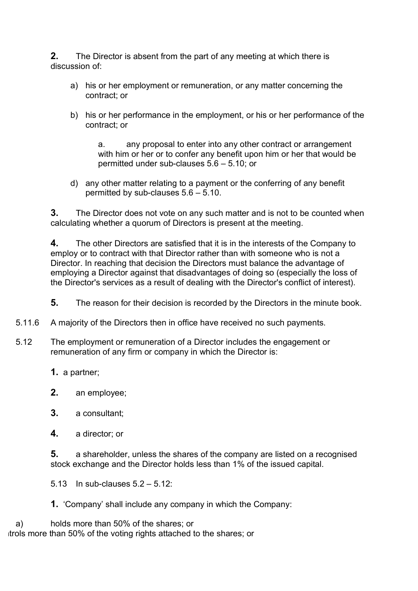**2.** The Director is absent from the part of any meeting at which there is discussion of:

- a) his or her employment or remuneration, or any matter concerning the contract; or
- b) his or her performance in the employment, or his or her performance of the contract; or

a. any proposal to enter into any other contract or arrangement with him or her or to confer any benefit upon him or her that would be permitted under sub-clauses 5.6 – 5.10; or

d) any other matter relating to a payment or the conferring of any benefit permitted by sub-clauses 5.6 – 5.10.

**3.** The Director does not vote on any such matter and is not to be counted when calculating whether a quorum of Directors is present at the meeting.

**4.** The other Directors are satisfied that it is in the interests of the Company to employ or to contract with that Director rather than with someone who is not a Director. In reaching that decision the Directors must balance the advantage of employing a Director against that disadvantages of doing so (especially the loss of the Director's services as a result of dealing with the Director's conflict of interest).

**5.** The reason for their decision is recorded by the Directors in the minute book.

- 5.11.6 A majority of the Directors then in office have received no such payments.
- 5.12 The employment or remuneration of a Director includes the engagement or remuneration of any firm or company in which the Director is:
	- **1.** a partner;
	- **2.** an employee;
	- **3.** a consultant;
	- **4.** a director; or

**5.** a shareholder, unless the shares of the company are listed on a recognised stock exchange and the Director holds less than 1% of the issued capital.

5.13 In sub-clauses 5.2 – 5.12:

**1.** 'Company' shall include any company in which the Company:

a) holds more than 50% of the shares; or trols more than 50% of the voting rights attached to the shares; or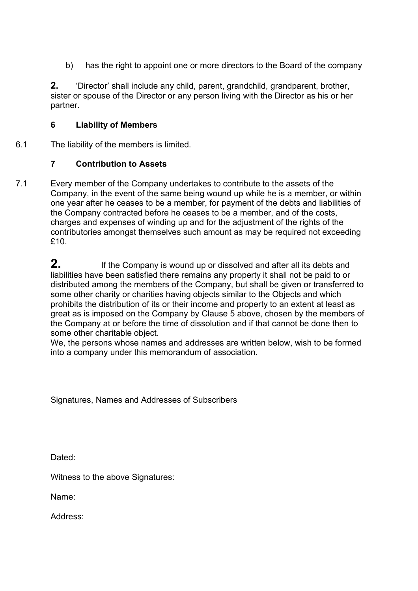b) has the right to appoint one or more directors to the Board of the company

**2.** 'Director' shall include any child, parent, grandchild, grandparent, brother, sister or spouse of the Director or any person living with the Director as his or her partner.

### **6 Liability of Members**

6.1 The liability of the members is limited.

## **7 Contribution to Assets**

7.1 Every member of the Company undertakes to contribute to the assets of the Company, in the event of the same being wound up while he is a member, or within one year after he ceases to be a member, for payment of the debts and liabilities of the Company contracted before he ceases to be a member, and of the costs, charges and expenses of winding up and for the adjustment of the rights of the contributories amongst themselves such amount as may be required not exceeding £10.

> **2.** If the Company is wound up or dissolved and after all its debts and liabilities have been satisfied there remains any property it shall not be paid to or distributed among the members of the Company, but shall be given or transferred to some other charity or charities having objects similar to the Objects and which prohibits the distribution of its or their income and property to an extent at least as great as is imposed on the Company by Clause 5 above, chosen by the members of the Company at or before the time of dissolution and if that cannot be done then to some other charitable object.

> We, the persons whose names and addresses are written below, wish to be formed into a company under this memorandum of association.

Signatures, Names and Addresses of Subscribers

Dated:

Witness to the above Signatures:

Name:

Address: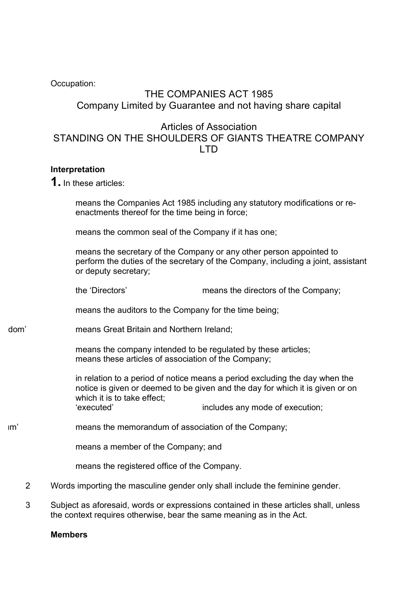Occupation:

# THE COMPANIES ACT 1985 Company Limited by Guarantee and not having share capital

Articles of Association STANDING ON THE SHOULDERS OF GIANTS THEATRE COMPANY LTD

### **Interpretation**

**1.** In these articles:

means the Companies Act 1985 including any statutory modifications or reenactments thereof for the time being in force;

means the common seal of the Company if it has one;

means the secretary of the Company or any other person appointed to perform the duties of the secretary of the Company, including a joint, assistant or deputy secretary;

the 'Directors' means the directors of the Company;

means the auditors to the Company for the time being;

dom' means Great Britain and Northern Ireland:

means the company intended to be regulated by these articles; means these articles of association of the Company;

in relation to a period of notice means a period excluding the day when the notice is given or deemed to be given and the day for which it is given or on which it is to take effect; 'executed' includes any mode of execution;

Im' means the memorandum of association of the Company;

means a member of the Company; and

means the registered office of the Company.

- 2 Words importing the masculine gender only shall include the feminine gender.
- 3 Subject as aforesaid, words or expressions contained in these articles shall, unless the context requires otherwise, bear the same meaning as in the Act.

**Members**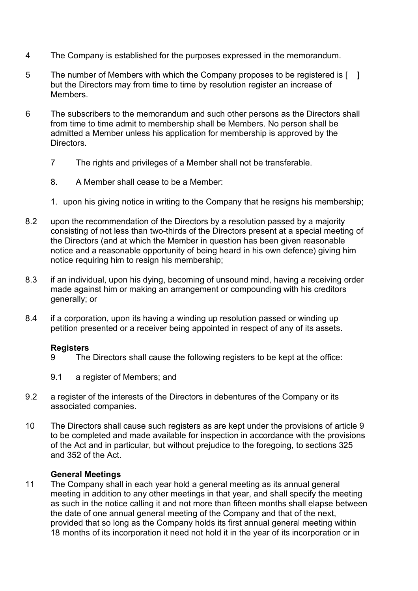- 4 The Company is established for the purposes expressed in the memorandum.
- 5 The number of Members with which the Company proposes to be registered is [ ] but the Directors may from time to time by resolution register an increase of Members.
- 6 The subscribers to the memorandum and such other persons as the Directors shall from time to time admit to membership shall be Members. No person shall be admitted a Member unless his application for membership is approved by the Directors.
	- 7 The rights and privileges of a Member shall not be transferable.
	- 8. A Member shall cease to be a Member:
	- 1. upon his giving notice in writing to the Company that he resigns his membership;
- 8.2 upon the recommendation of the Directors by a resolution passed by a majority consisting of not less than two-thirds of the Directors present at a special meeting of the Directors (and at which the Member in question has been given reasonable notice and a reasonable opportunity of being heard in his own defence) giving him notice requiring him to resign his membership;
- 8.3 if an individual, upon his dying, becoming of unsound mind, having a receiving order made against him or making an arrangement or compounding with his creditors generally; or
- 8.4 if a corporation, upon its having a winding up resolution passed or winding up petition presented or a receiver being appointed in respect of any of its assets.

#### **Registers**

- 9 The Directors shall cause the following registers to be kept at the office:
- 9.1 a register of Members; and
- 9.2 a register of the interests of the Directors in debentures of the Company or its associated companies.
- 10 The Directors shall cause such registers as are kept under the provisions of article 9 to be completed and made available for inspection in accordance with the provisions of the Act and in particular, but without prejudice to the foregoing, to sections 325 and 352 of the Act.

## **General Meetings**

11 The Company shall in each year hold a general meeting as its annual general meeting in addition to any other meetings in that year, and shall specify the meeting as such in the notice calling it and not more than fifteen months shall elapse between the date of one annual general meeting of the Company and that of the next, provided that so long as the Company holds its first annual general meeting within 18 months of its incorporation it need not hold it in the year of its incorporation or in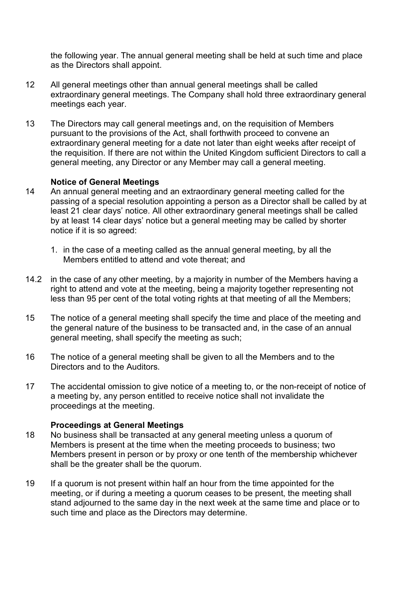the following year. The annual general meeting shall be held at such time and place as the Directors shall appoint.

- 12 All general meetings other than annual general meetings shall be called extraordinary general meetings. The Company shall hold three extraordinary general meetings each year.
- 13 The Directors may call general meetings and, on the requisition of Members pursuant to the provisions of the Act, shall forthwith proceed to convene an extraordinary general meeting for a date not later than eight weeks after receipt of the requisition. If there are not within the United Kingdom sufficient Directors to call a general meeting, any Director or any Member may call a general meeting.

### **Notice of General Meetings**

- 14 An annual general meeting and an extraordinary general meeting called for the passing of a special resolution appointing a person as a Director shall be called by at least 21 clear days' notice. All other extraordinary general meetings shall be called by at least 14 clear days' notice but a general meeting may be called by shorter notice if it is so agreed:
	- 1. in the case of a meeting called as the annual general meeting, by all the Members entitled to attend and vote thereat; and
- 14.2 in the case of any other meeting, by a majority in number of the Members having a right to attend and vote at the meeting, being a majority together representing not less than 95 per cent of the total voting rights at that meeting of all the Members;
- 15 The notice of a general meeting shall specify the time and place of the meeting and the general nature of the business to be transacted and, in the case of an annual general meeting, shall specify the meeting as such;
- 16 The notice of a general meeting shall be given to all the Members and to the Directors and to the Auditors.
- 17 The accidental omission to give notice of a meeting to, or the non-receipt of notice of a meeting by, any person entitled to receive notice shall not invalidate the proceedings at the meeting.

#### **Proceedings at General Meetings**

- 18 No business shall be transacted at any general meeting unless a quorum of Members is present at the time when the meeting proceeds to business; two Members present in person or by proxy or one tenth of the membership whichever shall be the greater shall be the quorum.
- 19 If a quorum is not present within half an hour from the time appointed for the meeting, or if during a meeting a quorum ceases to be present, the meeting shall stand adjourned to the same day in the next week at the same time and place or to such time and place as the Directors may determine.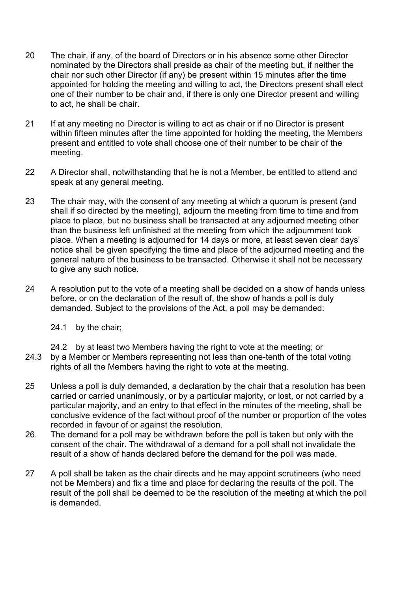- 20 The chair, if any, of the board of Directors or in his absence some other Director nominated by the Directors shall preside as chair of the meeting but, if neither the chair nor such other Director (if any) be present within 15 minutes after the time appointed for holding the meeting and willing to act, the Directors present shall elect one of their number to be chair and, if there is only one Director present and willing to act, he shall be chair.
- 21 If at any meeting no Director is willing to act as chair or if no Director is present within fifteen minutes after the time appointed for holding the meeting, the Members present and entitled to vote shall choose one of their number to be chair of the meeting.
- 22 A Director shall, notwithstanding that he is not a Member, be entitled to attend and speak at any general meeting.
- 23 The chair may, with the consent of any meeting at which a quorum is present (and shall if so directed by the meeting), adjourn the meeting from time to time and from place to place, but no business shall be transacted at any adjourned meeting other than the business left unfinished at the meeting from which the adjournment took place. When a meeting is adjourned for 14 days or more, at least seven clear days' notice shall be given specifying the time and place of the adjourned meeting and the general nature of the business to be transacted. Otherwise it shall not be necessary to give any such notice.
- 24 A resolution put to the vote of a meeting shall be decided on a show of hands unless before, or on the declaration of the result of, the show of hands a poll is duly demanded. Subject to the provisions of the Act, a poll may be demanded:
	- 24.1 by the chair;
	- 24.2 by at least two Members having the right to vote at the meeting; or
- 24.3 by a Member or Members representing not less than one-tenth of the total voting rights of all the Members having the right to vote at the meeting.
- 25 Unless a poll is duly demanded, a declaration by the chair that a resolution has been carried or carried unanimously, or by a particular majority, or lost, or not carried by a particular majority, and an entry to that effect in the minutes of the meeting, shall be conclusive evidence of the fact without proof of the number or proportion of the votes recorded in favour of or against the resolution.
- 26. The demand for a poll may be withdrawn before the poll is taken but only with the consent of the chair. The withdrawal of a demand for a poll shall not invalidate the result of a show of hands declared before the demand for the poll was made.
- 27 A poll shall be taken as the chair directs and he may appoint scrutineers (who need not be Members) and fix a time and place for declaring the results of the poll. The result of the poll shall be deemed to be the resolution of the meeting at which the poll is demanded.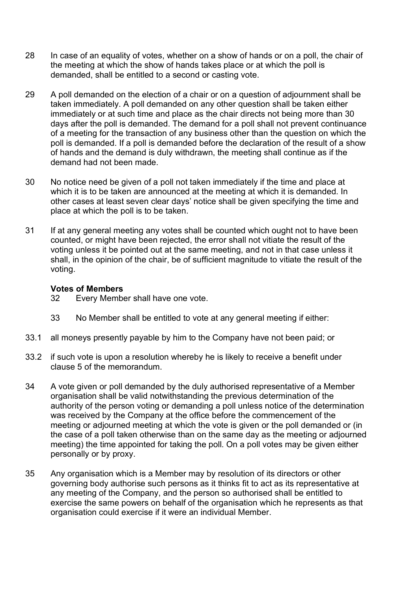- 28 In case of an equality of votes, whether on a show of hands or on a poll, the chair of the meeting at which the show of hands takes place or at which the poll is demanded, shall be entitled to a second or casting vote.
- 29 A poll demanded on the election of a chair or on a question of adjournment shall be taken immediately. A poll demanded on any other question shall be taken either immediately or at such time and place as the chair directs not being more than 30 days after the poll is demanded. The demand for a poll shall not prevent continuance of a meeting for the transaction of any business other than the question on which the poll is demanded. If a poll is demanded before the declaration of the result of a show of hands and the demand is duly withdrawn, the meeting shall continue as if the demand had not been made.
- 30 No notice need be given of a poll not taken immediately if the time and place at which it is to be taken are announced at the meeting at which it is demanded. In other cases at least seven clear days' notice shall be given specifying the time and place at which the poll is to be taken.
- 31 If at any general meeting any votes shall be counted which ought not to have been counted, or might have been rejected, the error shall not vitiate the result of the voting unless it be pointed out at the same meeting, and not in that case unless it shall, in the opinion of the chair, be of sufficient magnitude to vitiate the result of the voting.

#### **Votes of Members**

- 32 Every Member shall have one vote.
- 33 No Member shall be entitled to vote at any general meeting if either:
- 33.1 all moneys presently payable by him to the Company have not been paid; or
- 33.2 if such vote is upon a resolution whereby he is likely to receive a benefit under clause 5 of the memorandum.
- 34 A vote given or poll demanded by the duly authorised representative of a Member organisation shall be valid notwithstanding the previous determination of the authority of the person voting or demanding a poll unless notice of the determination was received by the Company at the office before the commencement of the meeting or adjourned meeting at which the vote is given or the poll demanded or (in the case of a poll taken otherwise than on the same day as the meeting or adjourned meeting) the time appointed for taking the poll. On a poll votes may be given either personally or by proxy.
- 35 Any organisation which is a Member may by resolution of its directors or other governing body authorise such persons as it thinks fit to act as its representative at any meeting of the Company, and the person so authorised shall be entitled to exercise the same powers on behalf of the organisation which he represents as that organisation could exercise if it were an individual Member.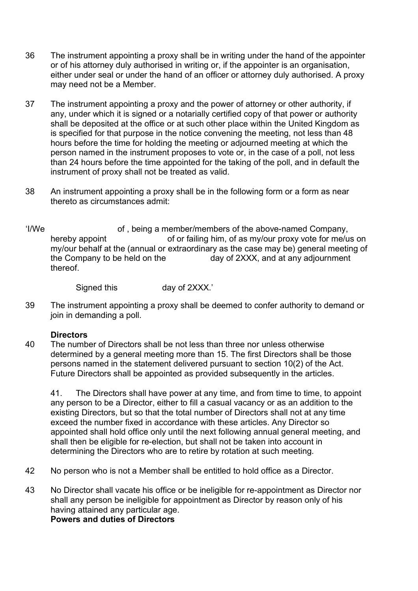- 36 The instrument appointing a proxy shall be in writing under the hand of the appointer or of his attorney duly authorised in writing or, if the appointer is an organisation, either under seal or under the hand of an officer or attorney duly authorised. A proxy may need not be a Member.
- 37 The instrument appointing a proxy and the power of attorney or other authority, if any, under which it is signed or a notarially certified copy of that power or authority shall be deposited at the office or at such other place within the United Kingdom as is specified for that purpose in the notice convening the meeting, not less than 48 hours before the time for holding the meeting or adjourned meeting at which the person named in the instrument proposes to vote or, in the case of a poll, not less than 24 hours before the time appointed for the taking of the poll, and in default the instrument of proxy shall not be treated as valid.
- 38 An instrument appointing a proxy shall be in the following form or a form as near thereto as circumstances admit:
- 'I/We of, being a member/members of the above-named Company, hereby appoint of or failing him, of as my/our proxy vote for me/us on my/our behalf at the (annual or extraordinary as the case may be) general meeting of the Company to be held on the day of 2XXX, and at any adjournment thereof.

Signed this day of 2XXX.'

39 The instrument appointing a proxy shall be deemed to confer authority to demand or join in demanding a poll.

#### **Directors**

40 The number of Directors shall be not less than three nor unless otherwise determined by a general meeting more than 15. The first Directors shall be those persons named in the statement delivered pursuant to section 10(2) of the Act. Future Directors shall be appointed as provided subsequently in the articles.

41. The Directors shall have power at any time, and from time to time, to appoint any person to be a Director, either to fill a casual vacancy or as an addition to the existing Directors, but so that the total number of Directors shall not at any time exceed the number fixed in accordance with these articles. Any Director so appointed shall hold office only until the next following annual general meeting, and shall then be eligible for re-election, but shall not be taken into account in determining the Directors who are to retire by rotation at such meeting.

- 42 No person who is not a Member shall be entitled to hold office as a Director.
- 43 No Director shall vacate his office or be ineligible for re-appointment as Director nor shall any person be ineligible for appointment as Director by reason only of his having attained any particular age. **Powers and duties of Directors**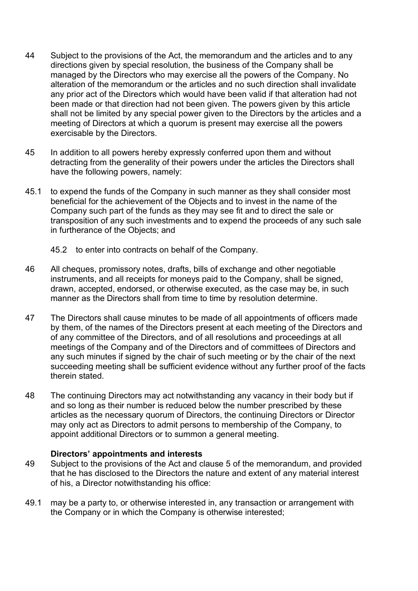- 44 Subject to the provisions of the Act, the memorandum and the articles and to any directions given by special resolution, the business of the Company shall be managed by the Directors who may exercise all the powers of the Company. No alteration of the memorandum or the articles and no such direction shall invalidate any prior act of the Directors which would have been valid if that alteration had not been made or that direction had not been given. The powers given by this article shall not be limited by any special power given to the Directors by the articles and a meeting of Directors at which a quorum is present may exercise all the powers exercisable by the Directors.
- 45 In addition to all powers hereby expressly conferred upon them and without detracting from the generality of their powers under the articles the Directors shall have the following powers, namely:
- 45.1 to expend the funds of the Company in such manner as they shall consider most beneficial for the achievement of the Objects and to invest in the name of the Company such part of the funds as they may see fit and to direct the sale or transposition of any such investments and to expend the proceeds of any such sale in furtherance of the Objects; and
	- 45.2 to enter into contracts on behalf of the Company.
- 46 All cheques, promissory notes, drafts, bills of exchange and other negotiable instruments, and all receipts for moneys paid to the Company, shall be signed, drawn, accepted, endorsed, or otherwise executed, as the case may be, in such manner as the Directors shall from time to time by resolution determine.
- 47 The Directors shall cause minutes to be made of all appointments of officers made by them, of the names of the Directors present at each meeting of the Directors and of any committee of the Directors, and of all resolutions and proceedings at all meetings of the Company and of the Directors and of committees of Directors and any such minutes if signed by the chair of such meeting or by the chair of the next succeeding meeting shall be sufficient evidence without any further proof of the facts therein stated.
- 48 The continuing Directors may act notwithstanding any vacancy in their body but if and so long as their number is reduced below the number prescribed by these articles as the necessary quorum of Directors, the continuing Directors or Director may only act as Directors to admit persons to membership of the Company, to appoint additional Directors or to summon a general meeting.

#### **Directors' appointments and interests**

- 49 Subject to the provisions of the Act and clause 5 of the memorandum, and provided that he has disclosed to the Directors the nature and extent of any material interest of his, a Director notwithstanding his office:
- 49.1 may be a party to, or otherwise interested in, any transaction or arrangement with the Company or in which the Company is otherwise interested;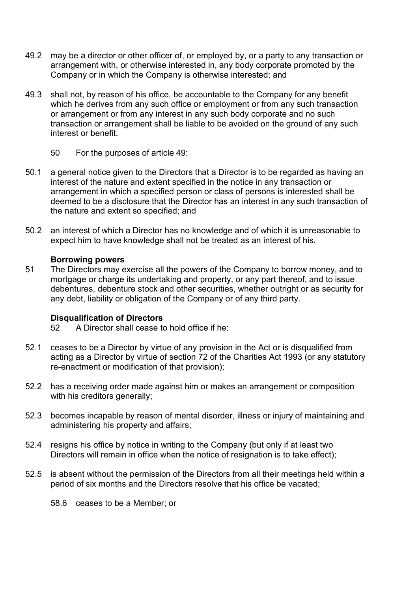- 49.2 may be a director or other officer of, or employed by, or a party to any transaction or arrangement with, or otherwise interested in, any body corporate promoted by the Company or in which the Company is otherwise interested; and
- 49.3 shall not, by reason of his office, be accountable to the Company for any benefit which he derives from any such office or employment or from any such transaction or arrangement or from any interest in any such body corporate and no such transaction or arrangement shall be liable to be avoided on the ground of any such interest or benefit.
	- 50 For the purposes of article 49:
- 50.1 a general notice given to the Directors that a Director is to be regarded as having an interest of the nature and extent specified in the notice in any transaction or arrangement in which a specified person or class of persons is interested shall be deemed to be a disclosure that the Director has an interest in any such transaction of the nature and extent so specified; and
- 50.2 an interest of which a Director has no knowledge and of which it is unreasonable to expect him to have knowledge shall not be treated as an interest of his.

#### **Borrowing powers**

51 The Directors may exercise all the powers of the Company to borrow money, and to mortgage or charge its undertaking and property, or any part thereof, and to issue debentures, debenture stock and other securities, whether outright or as security for any debt, liability or obligation of the Company or of any third party.

#### **Disqualification of Directors**

- 52 A Director shall cease to hold office if he:
- 52.1 ceases to be a Director by virtue of any provision in the Act or is disqualified from acting as a Director by virtue of section 72 of the Charities Act 1993 (or any statutory re-enactment or modification of that provision);
- 52.2 has a receiving order made against him or makes an arrangement or composition with his creditors generally;
- 52.3 becomes incapable by reason of mental disorder, illness or injury of maintaining and administering his property and affairs;
- 52.4 resigns his office by notice in writing to the Company (but only if at least two Directors will remain in office when the notice of resignation is to take effect);
- 52.5 is absent without the permission of the Directors from all their meetings held within a period of six months and the Directors resolve that his office be vacated;
	- 58.6 ceases to be a Member; or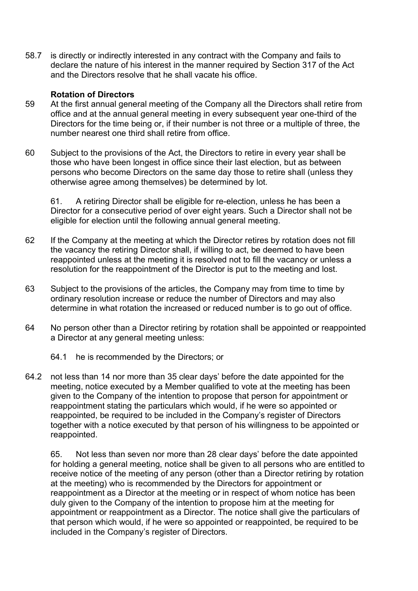58.7 is directly or indirectly interested in any contract with the Company and fails to declare the nature of his interest in the manner required by Section 317 of the Act and the Directors resolve that he shall vacate his office.

#### **Rotation of Directors**

- 59 At the first annual general meeting of the Company all the Directors shall retire from office and at the annual general meeting in every subsequent year one-third of the Directors for the time being or, if their number is not three or a multiple of three, the number nearest one third shall retire from office.
- 60 Subject to the provisions of the Act, the Directors to retire in every year shall be those who have been longest in office since their last election, but as between persons who become Directors on the same day those to retire shall (unless they otherwise agree among themselves) be determined by lot.

61. A retiring Director shall be eligible for re-election, unless he has been a Director for a consecutive period of over eight years. Such a Director shall not be eligible for election until the following annual general meeting.

- 62 If the Company at the meeting at which the Director retires by rotation does not fill the vacancy the retiring Director shall, if willing to act, be deemed to have been reappointed unless at the meeting it is resolved not to fill the vacancy or unless a resolution for the reappointment of the Director is put to the meeting and lost.
- 63 Subject to the provisions of the articles, the Company may from time to time by ordinary resolution increase or reduce the number of Directors and may also determine in what rotation the increased or reduced number is to go out of office.
- 64 No person other than a Director retiring by rotation shall be appointed or reappointed a Director at any general meeting unless:
	- 64.1 he is recommended by the Directors; or
- 64.2 not less than 14 nor more than 35 clear days' before the date appointed for the meeting, notice executed by a Member qualified to vote at the meeting has been given to the Company of the intention to propose that person for appointment or reappointment stating the particulars which would, if he were so appointed or reappointed, be required to be included in the Company's register of Directors together with a notice executed by that person of his willingness to be appointed or reappointed.

65. Not less than seven nor more than 28 clear days' before the date appointed for holding a general meeting, notice shall be given to all persons who are entitled to receive notice of the meeting of any person (other than a Director retiring by rotation at the meeting) who is recommended by the Directors for appointment or reappointment as a Director at the meeting or in respect of whom notice has been duly given to the Company of the intention to propose him at the meeting for appointment or reappointment as a Director. The notice shall give the particulars of that person which would, if he were so appointed or reappointed, be required to be included in the Company's register of Directors.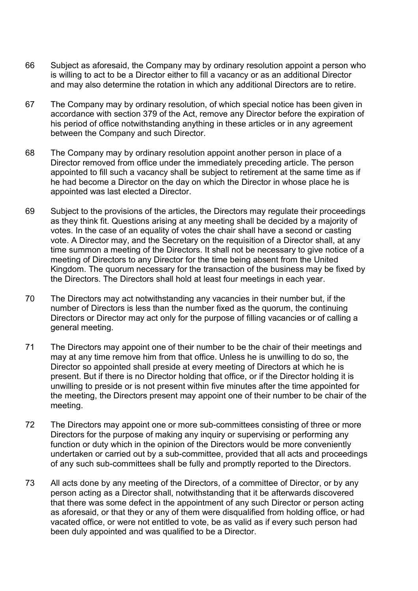- 66 Subject as aforesaid, the Company may by ordinary resolution appoint a person who is willing to act to be a Director either to fill a vacancy or as an additional Director and may also determine the rotation in which any additional Directors are to retire.
- 67 The Company may by ordinary resolution, of which special notice has been given in accordance with section 379 of the Act, remove any Director before the expiration of his period of office notwithstanding anything in these articles or in any agreement between the Company and such Director.
- 68 The Company may by ordinary resolution appoint another person in place of a Director removed from office under the immediately preceding article. The person appointed to fill such a vacancy shall be subject to retirement at the same time as if he had become a Director on the day on which the Director in whose place he is appointed was last elected a Director.
- 69 Subject to the provisions of the articles, the Directors may regulate their proceedings as they think fit. Questions arising at any meeting shall be decided by a majority of votes. In the case of an equality of votes the chair shall have a second or casting vote. A Director may, and the Secretary on the requisition of a Director shall, at any time summon a meeting of the Directors. It shall not be necessary to give notice of a meeting of Directors to any Director for the time being absent from the United Kingdom. The quorum necessary for the transaction of the business may be fixed by the Directors. The Directors shall hold at least four meetings in each year.
- 70 The Directors may act notwithstanding any vacancies in their number but, if the number of Directors is less than the number fixed as the quorum, the continuing Directors or Director may act only for the purpose of filling vacancies or of calling a general meeting.
- 71 The Directors may appoint one of their number to be the chair of their meetings and may at any time remove him from that office. Unless he is unwilling to do so, the Director so appointed shall preside at every meeting of Directors at which he is present. But if there is no Director holding that office, or if the Director holding it is unwilling to preside or is not present within five minutes after the time appointed for the meeting, the Directors present may appoint one of their number to be chair of the meeting.
- 72 The Directors may appoint one or more sub-committees consisting of three or more Directors for the purpose of making any inquiry or supervising or performing any function or duty which in the opinion of the Directors would be more conveniently undertaken or carried out by a sub-committee, provided that all acts and proceedings of any such sub-committees shall be fully and promptly reported to the Directors.
- 73 All acts done by any meeting of the Directors, of a committee of Director, or by any person acting as a Director shall, notwithstanding that it be afterwards discovered that there was some defect in the appointment of any such Director or person acting as aforesaid, or that they or any of them were disqualified from holding office, or had vacated office, or were not entitled to vote, be as valid as if every such person had been duly appointed and was qualified to be a Director.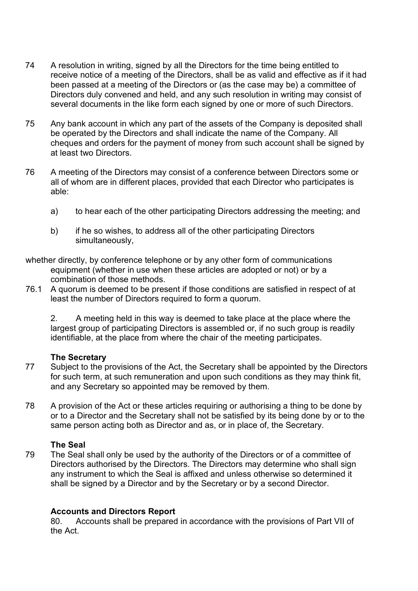- 74 A resolution in writing, signed by all the Directors for the time being entitled to receive notice of a meeting of the Directors, shall be as valid and effective as if it had been passed at a meeting of the Directors or (as the case may be) a committee of Directors duly convened and held, and any such resolution in writing may consist of several documents in the like form each signed by one or more of such Directors.
- 75 Any bank account in which any part of the assets of the Company is deposited shall be operated by the Directors and shall indicate the name of the Company. All cheques and orders for the payment of money from such account shall be signed by at least two Directors.
- 76 A meeting of the Directors may consist of a conference between Directors some or all of whom are in different places, provided that each Director who participates is able:
	- a) to hear each of the other participating Directors addressing the meeting; and
	- b) if he so wishes, to address all of the other participating Directors simultaneously,
- whether directly, by conference telephone or by any other form of communications equipment (whether in use when these articles are adopted or not) or by a combination of those methods.
- 76.1 A quorum is deemed to be present if those conditions are satisfied in respect of at least the number of Directors required to form a quorum.

2. A meeting held in this way is deemed to take place at the place where the largest group of participating Directors is assembled or, if no such group is readily identifiable, at the place from where the chair of the meeting participates.

#### **The Secretary**

- 77 Subject to the provisions of the Act, the Secretary shall be appointed by the Directors for such term, at such remuneration and upon such conditions as they may think fit, and any Secretary so appointed may be removed by them.
- 78 A provision of the Act or these articles requiring or authorising a thing to be done by or to a Director and the Secretary shall not be satisfied by its being done by or to the same person acting both as Director and as, or in place of, the Secretary.

#### **The Seal**

79 The Seal shall only be used by the authority of the Directors or of a committee of Directors authorised by the Directors. The Directors may determine who shall sign any instrument to which the Seal is affixed and unless otherwise so determined it shall be signed by a Director and by the Secretary or by a second Director.

#### **Accounts and Directors Report**

80. Accounts shall be prepared in accordance with the provisions of Part VII of the Act.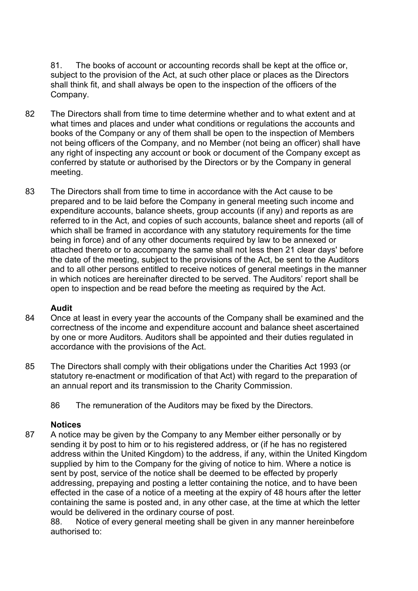81. The books of account or accounting records shall be kept at the office or, subject to the provision of the Act, at such other place or places as the Directors shall think fit, and shall always be open to the inspection of the officers of the Company.

- 82 The Directors shall from time to time determine whether and to what extent and at what times and places and under what conditions or regulations the accounts and books of the Company or any of them shall be open to the inspection of Members not being officers of the Company, and no Member (not being an officer) shall have any right of inspecting any account or book or document of the Company except as conferred by statute or authorised by the Directors or by the Company in general meeting.
- 83 The Directors shall from time to time in accordance with the Act cause to be prepared and to be laid before the Company in general meeting such income and expenditure accounts, balance sheets, group accounts (if any) and reports as are referred to in the Act, and copies of such accounts, balance sheet and reports (all of which shall be framed in accordance with any statutory requirements for the time being in force) and of any other documents required by law to be annexed or attached thereto or to accompany the same shall not less then 21 clear days' before the date of the meeting, subject to the provisions of the Act, be sent to the Auditors and to all other persons entitled to receive notices of general meetings in the manner in which notices are hereinafter directed to be served. The Auditors' report shall be open to inspection and be read before the meeting as required by the Act.

#### **Audit**

- 84 Once at least in every year the accounts of the Company shall be examined and the correctness of the income and expenditure account and balance sheet ascertained by one or more Auditors. Auditors shall be appointed and their duties regulated in accordance with the provisions of the Act.
- 85 The Directors shall comply with their obligations under the Charities Act 1993 (or statutory re-enactment or modification of that Act) with regard to the preparation of an annual report and its transmission to the Charity Commission.
	- 86 The remuneration of the Auditors may be fixed by the Directors.

#### **Notices**

87 A notice may be given by the Company to any Member either personally or by sending it by post to him or to his registered address, or (if he has no registered address within the United Kingdom) to the address, if any, within the United Kingdom supplied by him to the Company for the giving of notice to him. Where a notice is sent by post, service of the notice shall be deemed to be effected by properly addressing, prepaying and posting a letter containing the notice, and to have been effected in the case of a notice of a meeting at the expiry of 48 hours after the letter containing the same is posted and, in any other case, at the time at which the letter would be delivered in the ordinary course of post.

88. Notice of every general meeting shall be given in any manner hereinbefore authorised to: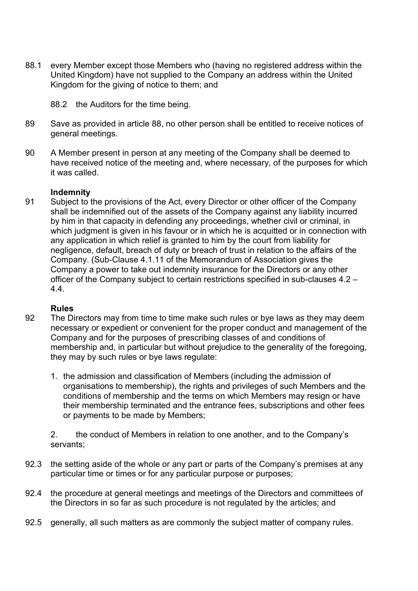- 88.1 every Member except those Members who (having no registered address within the United Kingdom) have not supplied to the Company an address within the United Kingdom for the giving of notice to them; and
	- 88.2 the Auditors for the time being.
- 89 Save as provided in article 88, no other person shall be entitled to receive notices of general meetings.
- 90 A Member present in person at any meeting of the Company shall be deemed to have received notice of the meeting and, where necessary, of the purposes for which it was called.

#### **Indemnity**

91 Subject to the provisions of the Act, every Director or other officer of the Company shall be indemnified out of the assets of the Company against any liability incurred by him in that capacity in defending any proceedings, whether civil or criminal, in which judgment is given in his favour or in which he is acquitted or in connection with any application in which relief is granted to him by the court from liability for negligence, default, breach of duty or breach of trust in relation to the affairs of the Company. (Sub-Clause 4.1.11 of the Memorandum of Association gives the Company a power to take out indemnity insurance for the Directors or any other officer of the Company subject to certain restrictions specified in sub-clauses 4.2 – 4.4.

#### **Rules**

- 92 The Directors may from time to time make such rules or bye laws as they may deem necessary or expedient or convenient for the proper conduct and management of the Company and for the purposes of prescribing classes of and conditions of membership and, in particular but without prejudice to the generality of the foregoing, they may by such rules or bye laws regulate:
	- 1. the admission and classification of Members (including the admission of organisations to membership), the rights and privileges of such Members and the conditions of membership and the terms on which Members may resign or have their membership terminated and the entrance fees, subscriptions and other fees or payments to be made by Members;

2. the conduct of Members in relation to one another, and to the Company's servants;

- 92.3 the setting aside of the whole or any part or parts of the Company's premises at any particular time or times or for any particular purpose or purposes;
- 92.4 the procedure at general meetings and meetings of the Directors and committees of the Directors in so far as such procedure is not regulated by the articles; and
- 92.5 generally, all such matters as are commonly the subject matter of company rules.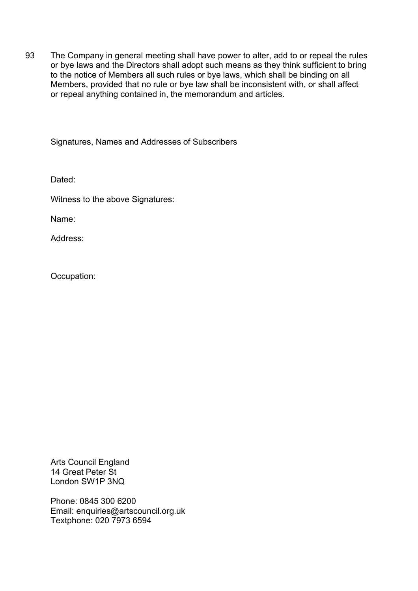93 The Company in general meeting shall have power to alter, add to or repeal the rules or bye laws and the Directors shall adopt such means as they think sufficient to bring to the notice of Members all such rules or bye laws, which shall be binding on all Members, provided that no rule or bye law shall be inconsistent with, or shall affect or repeal anything contained in, the memorandum and articles.

Signatures, Names and Addresses of Subscribers

Dated:

Witness to the above Signatures:

Name:

Address:

Occupation:

Arts Council England 14 Great Peter St London SW1P 3NQ

Phone: 0845 300 6200 Email: enquiries@artscouncil.org.uk Textphone: 020 7973 6594